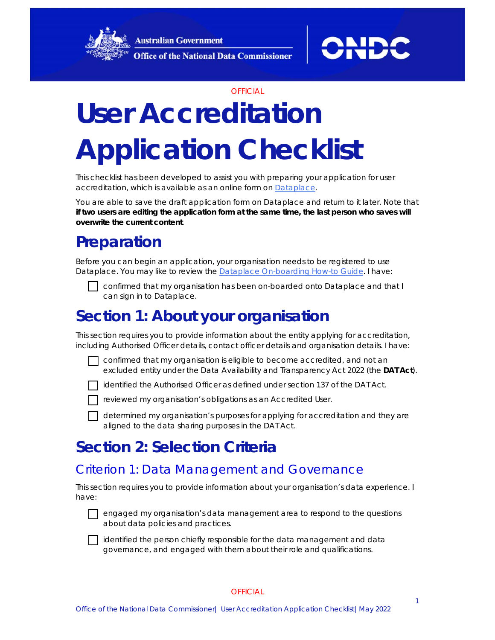**Australian Government Office of the National Data Commissioner** 





#### **OFFICIAL**

# **User Accreditation Application Checklist**

This checklist has been developed to assist you with preparing your application for user accreditation, which is available as an online form on [Dataplace.](http://www.dataplace.gov.au/)

You are able to save the draft application form on Dataplace and return to it later. Note that **if two users are editing the application form at the same time, the last person who saves will overwrite the current content**.

# **Preparation**

Before you can begin an application, your organisation needs to be registered to use Dataplace. You may like to review the **Dataplace On-boarding How-to Guide. I have:** 



 confirmed that my organisation has been on-boarded onto Dataplace and that I can sign in to Dataplace.

# **Section 1: About your organisation**

This section requires you to provide information about the entity applying for accreditation, including Authorised Officer details, contact officer details and organisation details. I have:

 confirmed that my organisation is eligible to become accredited, and not an excluded entity under the *Data Availability and Transparency Act 2022* (the **DAT Act**).

identified the Authorised Officer as defined under section 137 of the DAT Act.

reviewed my organisation's obligations as an Accredited User.

 determined my organisation's purposes for applying for accreditation and they are aligned to the data sharing purposes in the DAT Act.

## **Section 2: Selection Criteria**

## Criterion 1: Data Management and Governance

This section requires you to provide information about your organisation's data experience. I have:

 engaged my organisation's data management area to respond to the questions about data policies and practices.

 $\Box$  identified the person chiefly responsible for the data management and data governance, and engaged with them about their role and qualifications.

#### **OFFICIAL**